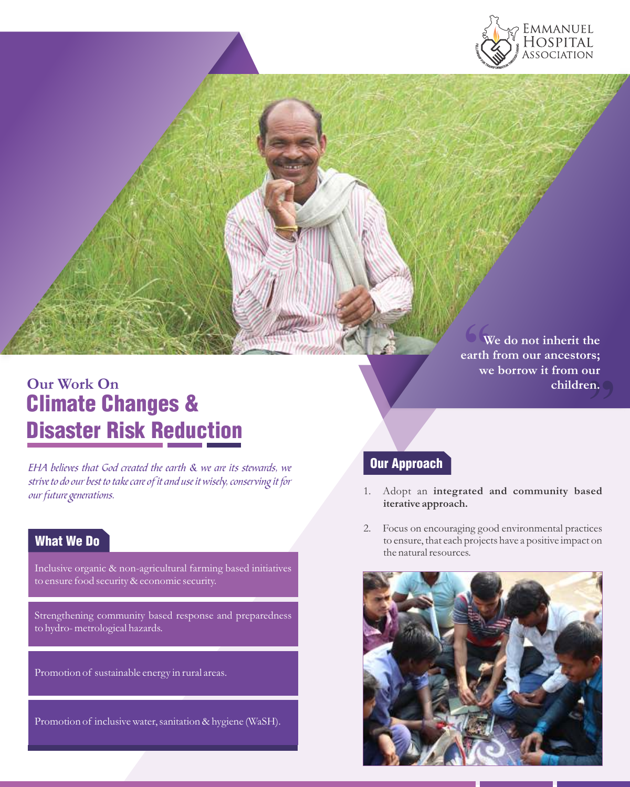

**Our Work On** Climate Changes & Disaster Risk Reduction

EHA believes that God created the earth & we are its stewards, we strive to do our best to take care of it and use it wisely, conserving it for our future generations.

## What We Do

Inclusive organic & non-agricultural farming based initiatives to ensure food security & economic security.

Strengthening community based response and preparedness hydro- metrological hazards. to hydro- metrological hazards.

Promotion of sustainable energy in rural areas.

Promotion of inclusive water, sanitation & hygiene (WaSH).

 $\frac{6}{x}$ <br> $\frac{6}{x}$ ur<br>n.  $\left($ **We do not inherit the earth from our ancestors; we borrow it from our children.**

## Our Approach

- 1. Adopt an **integrated and community based iterative approach.**
- 2. Focus on encouraging good environmental practices to ensure, that each projects have a positive impact on the natural resources.